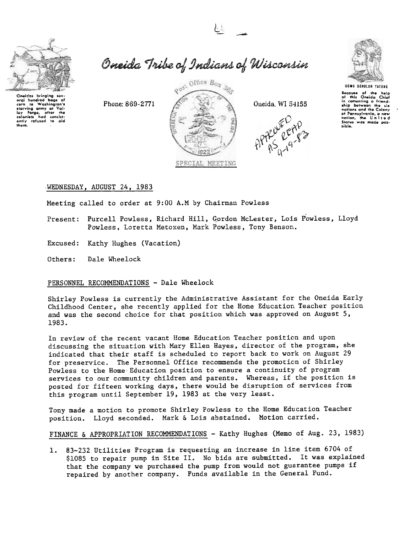

oral hundred bags of<br>corn to Washington's<br>starving amy at Val-<br>ley Forge, after the<br>colonists had consist-<br>ently rafused to aid

them.

Oneida Tribe of Indians of Wisconsin

Phone: 869-2771









Because of the help<br>of this Oneida Chief in comenting a friend-<br>ship between the six nations and the Colony nations and the Golony<br>of Pennsylvania, a new<br>nation, the United<br>Sicitus was made pos-<br>sible.

# WEDNESDAY, AUGUST 24, 1983

Meeting called to order at 9:00 A.M by Chairman Powless

- Present: Purcell Powless, Richard Hill, Gordon McLester, Lois Powless, Lloyd Powless, Loretta Metoxen, Mark Powless, Tony Benson.
- Excused: Kathy Hughes (Vacation)
- Others: Dale Wheelock

## PERSONNEL RECOMMENDATIONS - Dale Wheelock

Shirley Powless is currently the Administrative Assistant for the Oneida Early Childhood Center, she recently applied for the Home Education Teacher position and was the second choice for that position which was approved on August 5, 1983.

In review of the recent vacant Home Education Teacher position and upon discussing the situation with Mary Ellen Hayes, director of the program, she indicated that their staff is scheduled to report back to work on August 29 for preservice. The Personnel Office recommends the promotion of Shirley Powless to the Home Education position to ensure a continuity of program services to our community children and parents. Whereas, if the position is posted for fifteen working days, there would be disruption of services from this program until September 19, 1983 at the very least.

Tony made a motion to promote Shirley Powless to the Home Education Teacher position. Lloyd seconded. Mark & Lois abstained. Motion carried.

FINANCE & APPROPRIATION RECOMMENDATIONS - Kathy Hughes (Memo of Aug. 23, 1983)

1. 83-232 Utilities Program is requesting an increase in line item 6704 of \$1085 to repair pump in Site II. No bids are submitted. It was explained that the company we purchased the pump from would not guarantee pumps if repaired by another company. Funds available in the General Fund.